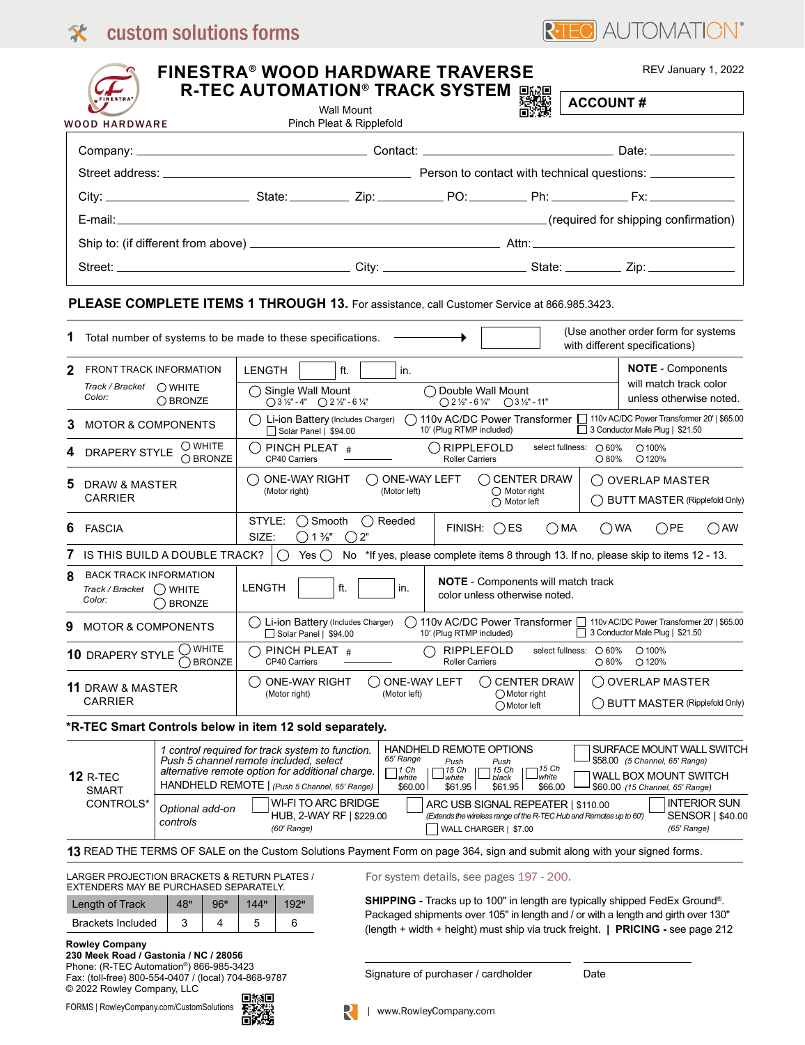## **Existem solutions forms** and order: Company: Contact: Date of Order: Contact: Date of Order: Contact: Date of Order: Contact: Date of Order: Contact: Date of Order: Contact: Date of Order: Contact: Date of Order: Contact:



|                                                                          |                                        |                                                                                                                                                                                                 | <b>R-TEC AUTOMATION® TRACK SYSTEM</b><br><b>Wall Mount</b>                                                                                |                                                                                                   | 回放回                                                                                                       | <b>ACCOUNT#</b> |                                                                                                                                |
|--------------------------------------------------------------------------|----------------------------------------|-------------------------------------------------------------------------------------------------------------------------------------------------------------------------------------------------|-------------------------------------------------------------------------------------------------------------------------------------------|---------------------------------------------------------------------------------------------------|-----------------------------------------------------------------------------------------------------------|-----------------|--------------------------------------------------------------------------------------------------------------------------------|
| <b>WOOD HARDWARE</b>                                                     |                                        |                                                                                                                                                                                                 | Pinch Pleat & Ripplefold                                                                                                                  |                                                                                                   |                                                                                                           |                 |                                                                                                                                |
|                                                                          |                                        |                                                                                                                                                                                                 |                                                                                                                                           |                                                                                                   |                                                                                                           |                 |                                                                                                                                |
|                                                                          |                                        |                                                                                                                                                                                                 |                                                                                                                                           |                                                                                                   |                                                                                                           |                 |                                                                                                                                |
|                                                                          |                                        |                                                                                                                                                                                                 |                                                                                                                                           |                                                                                                   |                                                                                                           |                 |                                                                                                                                |
|                                                                          |                                        |                                                                                                                                                                                                 |                                                                                                                                           |                                                                                                   |                                                                                                           |                 |                                                                                                                                |
|                                                                          |                                        |                                                                                                                                                                                                 |                                                                                                                                           |                                                                                                   |                                                                                                           |                 |                                                                                                                                |
|                                                                          |                                        |                                                                                                                                                                                                 |                                                                                                                                           |                                                                                                   |                                                                                                           |                 |                                                                                                                                |
|                                                                          |                                        |                                                                                                                                                                                                 | PLEASE COMPLETE ITEMS 1 THROUGH 13. For assistance, call Customer Service at 866.985.3423.                                                |                                                                                                   |                                                                                                           |                 |                                                                                                                                |
|                                                                          |                                        |                                                                                                                                                                                                 |                                                                                                                                           |                                                                                                   |                                                                                                           |                 |                                                                                                                                |
| 1                                                                        |                                        |                                                                                                                                                                                                 | Total number of systems to be made to these specifications.                                                                               |                                                                                                   |                                                                                                           |                 | (Use another order form for systems<br>with different specifications)                                                          |
| <b>FRONT TRACK INFORMATION</b><br>2                                      |                                        | LENGTH                                                                                                                                                                                          | ft.<br>in.                                                                                                                                |                                                                                                   |                                                                                                           |                 | <b>NOTE</b> - Components<br>will match track color                                                                             |
| Track / Bracket ◯ WHITE<br>Color:<br>$\bigcap$ BRONZE                    |                                        |                                                                                                                                                                                                 | ◯ Double Wall Mount<br>$\bigcap$ Single Wall Mount<br>$\bigcirc$ 3 ½" - 4" $\bigcirc$ 2 ½" - 6 ¼"<br>$Q$ 2 1/2" - 6 1/4" $Q$ 3 1/2" - 11" |                                                                                                   |                                                                                                           |                 | unless otherwise noted.                                                                                                        |
| <b>MOTOR &amp; COMPONENTS</b><br>3                                       |                                        | ◯ Li-ion Battery (Includes Charger)<br>Solar Panel   \$94.00                                                                                                                                    |                                                                                                                                           | 10' (Plug RTMP included)                                                                          |                                                                                                           |                 | 110v AC/DC Power Transformer 110v AC/DC Power Transformer 20'   \$65.00<br>3 Conductor Male Plug   \$21.50                     |
|                                                                          | DRAPERY STYLE WWW.                     | ( ) PINCH PLEAT $\,\#$<br>CP40 Carriers                                                                                                                                                         |                                                                                                                                           | ( )RIPPLEFOLD<br><b>Roller Carriers</b>                                                           | select fullness: ○ 60%                                                                                    | $\bigcirc$ 80%  | $O$ 100%<br>O 120%                                                                                                             |
| DRAW & MASTER<br>CARRIER                                                 |                                        | $\bigcap$ one-way right<br>(Motor right)                                                                                                                                                        | ONE-WAY LEFT<br>(Motor left)                                                                                                              |                                                                                                   | $\bigcirc$ CENTER DRAW<br>$\bigcirc$ Motor right<br>$\bigcap$ Motor left                                  |                 | () OVERLAP MASTER<br>() BUTT MASTER (Ripplefold Only)                                                                          |
| 6<br><b>FASCIA</b>                                                       |                                        | STYLE:<br>() Smooth<br>SIZE:<br>$\bigcap$ 1 %"                                                                                                                                                  | () Reeded<br>( ) 2"                                                                                                                       | $FINISH:$ $\bigcirc$ ES                                                                           | ()MA                                                                                                      | ()WA            | ()PE<br>( ) AW                                                                                                                 |
|                                                                          | IS THIS BUILD A DOUBLE TRACK?          |                                                                                                                                                                                                 | $\bigcirc$ Yes $\bigcirc$ No *If yes, please complete items 8 through 13. If no, please skip to items 12 - 13.                            |                                                                                                   |                                                                                                           |                 |                                                                                                                                |
| <b>BACK TRACK INFORMATION</b><br>8<br>Track / Bracket () WHITE<br>Color: | $\bigcap$ BRONZE                       | <b>LENGTH</b>                                                                                                                                                                                   | ft.<br>in.                                                                                                                                | color unless otherwise noted.                                                                     | <b>NOTE</b> - Components will match track                                                                 |                 |                                                                                                                                |
| 9<br><b>MOTOR &amp; COMPONENTS</b>                                       |                                        | () Li-ion Battery (Includes Charger)<br>Solar Panel   \$94.00                                                                                                                                   |                                                                                                                                           | 10' (Plug RTMP included)                                                                          |                                                                                                           |                 | () 110v AC/DC Power Transformer □ 110v AC/DC Power Transformer 20'   \$65.00<br>3 Conductor Male Plug   \$21.50                |
| <b>WHITE</b><br><b>10 DRAPERY STYLE</b><br><b>BRONZE</b>                 |                                        | PINCH PLEAT #<br>CP40 Carriers                                                                                                                                                                  |                                                                                                                                           | RIPPLEFOLD<br><b>Roller Carriers</b>                                                              | select fullness: 0 60%                                                                                    | $\bigcirc$ 80%  | $O$ 100%<br>O 120%                                                                                                             |
| <b>11 DRAW &amp; MASTER</b><br><b>CARRIER</b>                            |                                        | <b>ONE-WAY RIGHT</b><br>(Motor right)                                                                                                                                                           | ONE-WAY LEFT<br>(Motor left)                                                                                                              |                                                                                                   | <b>CENTER DRAW</b><br>◯ Motor right<br>◯ Motor left                                                       | ( )             | <b>OVERLAP MASTER</b><br>() BUTT MASTER (Ripplefold Only)                                                                      |
|                                                                          |                                        | *R-TEC Smart Controls below in item 12 sold separately.                                                                                                                                         |                                                                                                                                           |                                                                                                   |                                                                                                           |                 |                                                                                                                                |
| <b>12 R-TEC</b><br>SMART                                                 |                                        | 1 control required for track system to function.<br>Push 5 channel remote included, select<br>alternative remote option for additional charge.<br>HANDHELD REMOTE   (Push 5 Channel, 65' Range) | 65' Range<br>$\Box^{\textit{1 Ch}}_{\textit{white}}$<br>\$60.00                                                                           | HANDHELD REMOTE OPTIONS<br>Push<br>Push<br>15 Ch<br>15 Ch<br>white<br>black<br>\$61.95<br>\$61.95 | 715 Ch<br><b>I</b> white<br>\$66.00                                                                       |                 | SURFACE MOUNT WALL SWITCH<br>\$58.00 (5 Channel, 65' Range)<br><b>WALL BOX MOUNT SWITCH</b><br>\$60.00 (15 Channel, 65' Range) |
| CONTROLS*                                                                | Optional add-on<br>controls            | WI-FI TO ARC BRIDGE<br>HUB, 2-WAY RF   \$229.00<br>(60' Range)                                                                                                                                  |                                                                                                                                           | WALL CHARGER   \$7.00                                                                             | ARC USB SIGNAL REPEATER   \$110.00<br>(Extends the wireless range of the R-TEC Hub and Remotes up to 60') |                 | <b>INTERIOR SUN</b><br>SENSOR   \$40.00<br>(65' Range)                                                                         |
|                                                                          |                                        |                                                                                                                                                                                                 | 13 READ THE TERMS OF SALE on the Custom Solutions Payment Form on page 364, sign and submit along with your signed forms.                 |                                                                                                   |                                                                                                           |                 |                                                                                                                                |
| LARGER PROJECTION BRACKETS & RETURN PLATES /                             | EXTENDERS MAY BE PURCHASED SEPARATELY. |                                                                                                                                                                                                 | For system details, see pages 197 - 200.                                                                                                  |                                                                                                   |                                                                                                           |                 |                                                                                                                                |
|                                                                          |                                        |                                                                                                                                                                                                 |                                                                                                                                           |                                                                                                   |                                                                                                           |                 | <b>SHIPPING</b> - Tracks up to 100" in length are typically shipped FedEx Ground <sup>®</sup> .                                |
| Length of Track                                                          | 48"<br>96"                             | 144"<br>192"                                                                                                                                                                                    |                                                                                                                                           |                                                                                                   |                                                                                                           |                 | Packaged shipments over 105" in length and / or with a length and girth over 130"                                              |

FORMS | RowleyCompany.com/CustomSolutions